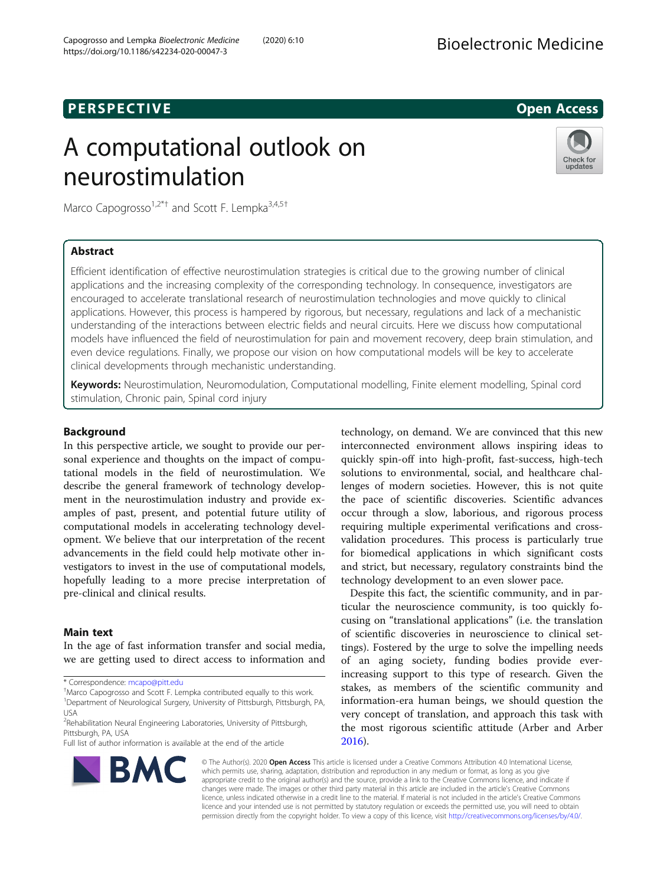# **PERSPECTIVE CONSIDERED ACCESS**

# A computational outlook on neurostimulation



Marco Capogrosso<sup>1,2\*†</sup> and Scott F. Lempka<sup>3,4,5†</sup>

# Abstract

Efficient identification of effective neurostimulation strategies is critical due to the growing number of clinical applications and the increasing complexity of the corresponding technology. In consequence, investigators are encouraged to accelerate translational research of neurostimulation technologies and move quickly to clinical applications. However, this process is hampered by rigorous, but necessary, regulations and lack of a mechanistic understanding of the interactions between electric fields and neural circuits. Here we discuss how computational models have influenced the field of neurostimulation for pain and movement recovery, deep brain stimulation, and even device regulations. Finally, we propose our vision on how computational models will be key to accelerate clinical developments through mechanistic understanding.

Keywords: Neurostimulation, Neuromodulation, Computational modelling, Finite element modelling, Spinal cord stimulation, Chronic pain, Spinal cord injury

# Background

In this perspective article, we sought to provide our personal experience and thoughts on the impact of computational models in the field of neurostimulation. We describe the general framework of technology development in the neurostimulation industry and provide examples of past, present, and potential future utility of computational models in accelerating technology development. We believe that our interpretation of the recent advancements in the field could help motivate other investigators to invest in the use of computational models, hopefully leading to a more precise interpretation of pre-clinical and clinical results.

# Main text

In the age of fast information transfer and social media, we are getting used to direct access to information and

\* Correspondence: [mcapo@pitt.edu](mailto:mcapo@pitt.edu) †

Marco Capogrosso and Scott F. Lempka contributed equally to this work.

Full list of author information is available at the end of the article



technology, on demand. We are convinced that this new interconnected environment allows inspiring ideas to quickly spin-off into high-profit, fast-success, high-tech solutions to environmental, social, and healthcare challenges of modern societies. However, this is not quite the pace of scientific discoveries. Scientific advances occur through a slow, laborious, and rigorous process requiring multiple experimental verifications and crossvalidation procedures. This process is particularly true for biomedical applications in which significant costs and strict, but necessary, regulatory constraints bind the technology development to an even slower pace.

Despite this fact, the scientific community, and in particular the neuroscience community, is too quickly focusing on "translational applications" (i.e. the translation of scientific discoveries in neuroscience to clinical settings). Fostered by the urge to solve the impelling needs of an aging society, funding bodies provide everincreasing support to this type of research. Given the stakes, as members of the scientific community and information-era human beings, we should question the very concept of translation, and approach this task with the most rigorous scientific attitude (Arber and Arber [2016](#page-5-0)).

© The Author(s). 2020 Open Access This article is licensed under a Creative Commons Attribution 4.0 International License, which permits use, sharing, adaptation, distribution and reproduction in any medium or format, as long as you give appropriate credit to the original author(s) and the source, provide a link to the Creative Commons licence, and indicate if changes were made. The images or other third party material in this article are included in the article's Creative Commons licence, unless indicated otherwise in a credit line to the material. If material is not included in the article's Creative Commons licence and your intended use is not permitted by statutory regulation or exceeds the permitted use, you will need to obtain permission directly from the copyright holder. To view a copy of this licence, visit [http://creativecommons.org/licenses/by/4.0/.](http://creativecommons.org/licenses/by/4.0/)

<sup>&</sup>lt;sup>1</sup>Department of Neurological Surgery, University of Pittsburgh, Pittsburgh, PA, USA

<sup>&</sup>lt;sup>2</sup> Rehabilitation Neural Engineering Laboratories, University of Pittsburgh, Pittsburgh, PA, USA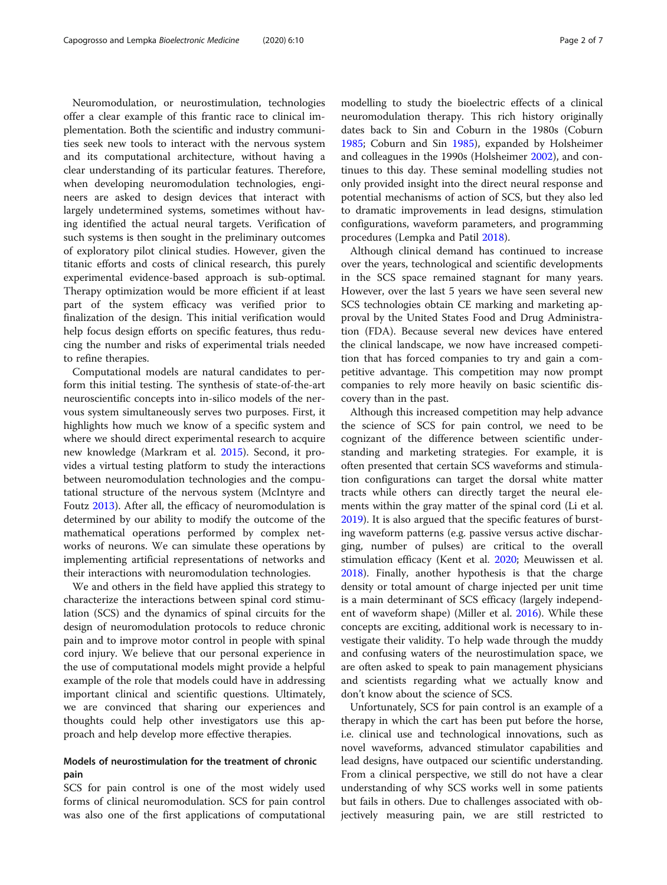Neuromodulation, or neurostimulation, technologies offer a clear example of this frantic race to clinical implementation. Both the scientific and industry communities seek new tools to interact with the nervous system and its computational architecture, without having a clear understanding of its particular features. Therefore, when developing neuromodulation technologies, engineers are asked to design devices that interact with largely undetermined systems, sometimes without having identified the actual neural targets. Verification of such systems is then sought in the preliminary outcomes of exploratory pilot clinical studies. However, given the titanic efforts and costs of clinical research, this purely experimental evidence-based approach is sub-optimal. Therapy optimization would be more efficient if at least part of the system efficacy was verified prior to finalization of the design. This initial verification would help focus design efforts on specific features, thus reducing the number and risks of experimental trials needed to refine therapies.

Computational models are natural candidates to perform this initial testing. The synthesis of state-of-the-art neuroscientific concepts into in-silico models of the nervous system simultaneously serves two purposes. First, it highlights how much we know of a specific system and where we should direct experimental research to acquire new knowledge (Markram et al. [2015\)](#page-6-0). Second, it provides a virtual testing platform to study the interactions between neuromodulation technologies and the computational structure of the nervous system (McIntyre and Foutz [2013](#page-6-0)). After all, the efficacy of neuromodulation is determined by our ability to modify the outcome of the mathematical operations performed by complex networks of neurons. We can simulate these operations by implementing artificial representations of networks and their interactions with neuromodulation technologies.

We and others in the field have applied this strategy to characterize the interactions between spinal cord stimulation (SCS) and the dynamics of spinal circuits for the design of neuromodulation protocols to reduce chronic pain and to improve motor control in people with spinal cord injury. We believe that our personal experience in the use of computational models might provide a helpful example of the role that models could have in addressing important clinical and scientific questions. Ultimately, we are convinced that sharing our experiences and thoughts could help other investigators use this approach and help develop more effective therapies.

# Models of neurostimulation for the treatment of chronic pain

SCS for pain control is one of the most widely used forms of clinical neuromodulation. SCS for pain control was also one of the first applications of computational

modelling to study the bioelectric effects of a clinical neuromodulation therapy. This rich history originally dates back to Sin and Coburn in the 1980s (Coburn [1985](#page-5-0); Coburn and Sin [1985\)](#page-5-0), expanded by Holsheimer and colleagues in the 1990s (Holsheimer [2002\)](#page-5-0), and continues to this day. These seminal modelling studies not only provided insight into the direct neural response and potential mechanisms of action of SCS, but they also led to dramatic improvements in lead designs, stimulation configurations, waveform parameters, and programming procedures (Lempka and Patil [2018](#page-5-0)).

Although clinical demand has continued to increase over the years, technological and scientific developments in the SCS space remained stagnant for many years. However, over the last 5 years we have seen several new SCS technologies obtain CE marking and marketing approval by the United States Food and Drug Administration (FDA). Because several new devices have entered the clinical landscape, we now have increased competition that has forced companies to try and gain a competitive advantage. This competition may now prompt companies to rely more heavily on basic scientific discovery than in the past.

Although this increased competition may help advance the science of SCS for pain control, we need to be cognizant of the difference between scientific understanding and marketing strategies. For example, it is often presented that certain SCS waveforms and stimulation configurations can target the dorsal white matter tracts while others can directly target the neural elements within the gray matter of the spinal cord (Li et al. [2019](#page-5-0)). It is also argued that the specific features of bursting waveform patterns (e.g. passive versus active discharging, number of pulses) are critical to the overall stimulation efficacy (Kent et al. [2020](#page-5-0); Meuwissen et al. [2018](#page-6-0)). Finally, another hypothesis is that the charge density or total amount of charge injected per unit time is a main determinant of SCS efficacy (largely independent of waveform shape) (Miller et al. [2016\)](#page-6-0). While these concepts are exciting, additional work is necessary to investigate their validity. To help wade through the muddy and confusing waters of the neurostimulation space, we are often asked to speak to pain management physicians and scientists regarding what we actually know and don't know about the science of SCS.

Unfortunately, SCS for pain control is an example of a therapy in which the cart has been put before the horse, i.e. clinical use and technological innovations, such as novel waveforms, advanced stimulator capabilities and lead designs, have outpaced our scientific understanding. From a clinical perspective, we still do not have a clear understanding of why SCS works well in some patients but fails in others. Due to challenges associated with objectively measuring pain, we are still restricted to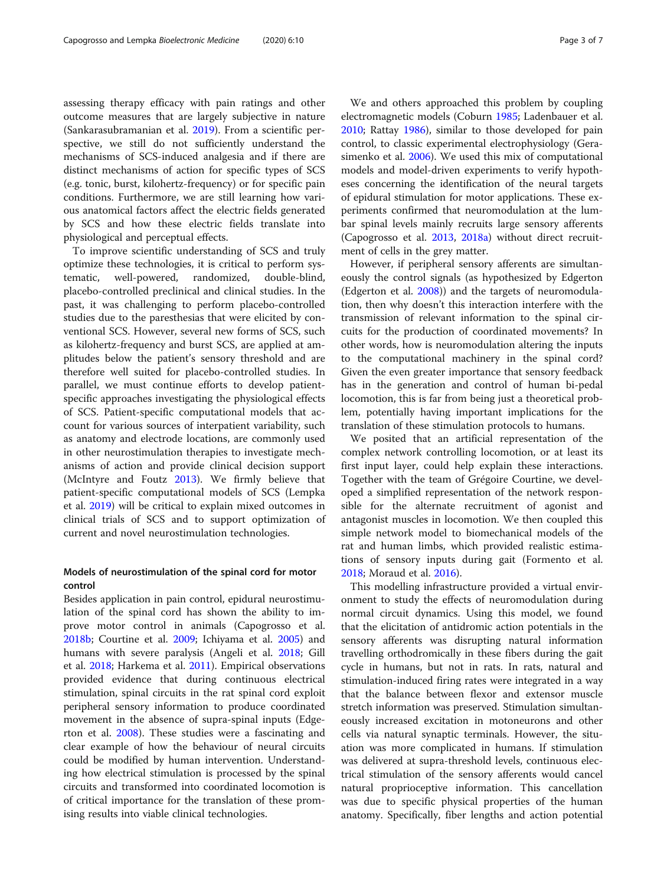assessing therapy efficacy with pain ratings and other outcome measures that are largely subjective in nature (Sankarasubramanian et al. [2019\)](#page-6-0). From a scientific perspective, we still do not sufficiently understand the mechanisms of SCS-induced analgesia and if there are distinct mechanisms of action for specific types of SCS (e.g. tonic, burst, kilohertz-frequency) or for specific pain conditions. Furthermore, we are still learning how various anatomical factors affect the electric fields generated by SCS and how these electric fields translate into physiological and perceptual effects.

To improve scientific understanding of SCS and truly optimize these technologies, it is critical to perform systematic, well-powered, randomized, double-blind, placebo-controlled preclinical and clinical studies. In the past, it was challenging to perform placebo-controlled studies due to the paresthesias that were elicited by conventional SCS. However, several new forms of SCS, such as kilohertz-frequency and burst SCS, are applied at amplitudes below the patient's sensory threshold and are therefore well suited for placebo-controlled studies. In parallel, we must continue efforts to develop patientspecific approaches investigating the physiological effects of SCS. Patient-specific computational models that account for various sources of interpatient variability, such as anatomy and electrode locations, are commonly used in other neurostimulation therapies to investigate mechanisms of action and provide clinical decision support (McIntyre and Foutz [2013\)](#page-6-0). We firmly believe that patient-specific computational models of SCS (Lempka et al. [2019](#page-5-0)) will be critical to explain mixed outcomes in clinical trials of SCS and to support optimization of current and novel neurostimulation technologies.

# Models of neurostimulation of the spinal cord for motor control

Besides application in pain control, epidural neurostimulation of the spinal cord has shown the ability to improve motor control in animals (Capogrosso et al. [2018b](#page-5-0); Courtine et al. [2009](#page-5-0); Ichiyama et al. [2005\)](#page-5-0) and humans with severe paralysis (Angeli et al. [2018](#page-5-0); Gill et al. [2018;](#page-5-0) Harkema et al. [2011\)](#page-5-0). Empirical observations provided evidence that during continuous electrical stimulation, spinal circuits in the rat spinal cord exploit peripheral sensory information to produce coordinated movement in the absence of supra-spinal inputs (Edgerton et al. [2008\)](#page-5-0). These studies were a fascinating and clear example of how the behaviour of neural circuits could be modified by human intervention. Understanding how electrical stimulation is processed by the spinal circuits and transformed into coordinated locomotion is of critical importance for the translation of these promising results into viable clinical technologies.

We and others approached this problem by coupling electromagnetic models (Coburn [1985](#page-5-0); Ladenbauer et al. [2010](#page-5-0); Rattay [1986](#page-6-0)), similar to those developed for pain control, to classic experimental electrophysiology (Gerasimenko et al. [2006\)](#page-5-0). We used this mix of computational models and model-driven experiments to verify hypotheses concerning the identification of the neural targets of epidural stimulation for motor applications. These experiments confirmed that neuromodulation at the lumbar spinal levels mainly recruits large sensory afferents (Capogrosso et al. [2013](#page-5-0), [2018a](#page-5-0)) without direct recruitment of cells in the grey matter.

However, if peripheral sensory afferents are simultaneously the control signals (as hypothesized by Edgerton (Edgerton et al. [2008](#page-5-0))) and the targets of neuromodulation, then why doesn't this interaction interfere with the transmission of relevant information to the spinal circuits for the production of coordinated movements? In other words, how is neuromodulation altering the inputs to the computational machinery in the spinal cord? Given the even greater importance that sensory feedback has in the generation and control of human bi-pedal locomotion, this is far from being just a theoretical problem, potentially having important implications for the translation of these stimulation protocols to humans.

We posited that an artificial representation of the complex network controlling locomotion, or at least its first input layer, could help explain these interactions. Together with the team of Grégoire Courtine, we developed a simplified representation of the network responsible for the alternate recruitment of agonist and antagonist muscles in locomotion. We then coupled this simple network model to biomechanical models of the rat and human limbs, which provided realistic estimations of sensory inputs during gait (Formento et al. [2018](#page-5-0); Moraud et al. [2016](#page-6-0)).

This modelling infrastructure provided a virtual environment to study the effects of neuromodulation during normal circuit dynamics. Using this model, we found that the elicitation of antidromic action potentials in the sensory afferents was disrupting natural information travelling orthodromically in these fibers during the gait cycle in humans, but not in rats. In rats, natural and stimulation-induced firing rates were integrated in a way that the balance between flexor and extensor muscle stretch information was preserved. Stimulation simultaneously increased excitation in motoneurons and other cells via natural synaptic terminals. However, the situation was more complicated in humans. If stimulation was delivered at supra-threshold levels, continuous electrical stimulation of the sensory afferents would cancel natural proprioceptive information. This cancellation was due to specific physical properties of the human anatomy. Specifically, fiber lengths and action potential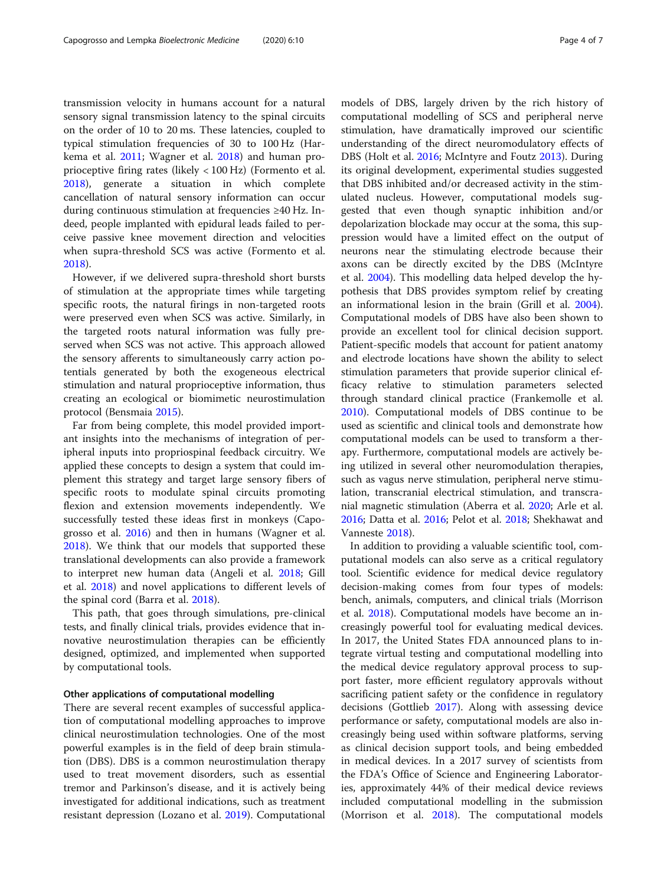transmission velocity in humans account for a natural sensory signal transmission latency to the spinal circuits on the order of 10 to 20 ms. These latencies, coupled to typical stimulation frequencies of 30 to 100 Hz (Harkema et al. [2011;](#page-5-0) Wagner et al. [2018](#page-6-0)) and human proprioceptive firing rates (likely < 100 Hz) (Formento et al. [2018](#page-5-0)), generate a situation in which complete cancellation of natural sensory information can occur during continuous stimulation at frequencies ≥40 Hz. Indeed, people implanted with epidural leads failed to perceive passive knee movement direction and velocities when supra-threshold SCS was active (Formento et al. [2018](#page-5-0)).

However, if we delivered supra-threshold short bursts of stimulation at the appropriate times while targeting specific roots, the natural firings in non-targeted roots were preserved even when SCS was active. Similarly, in the targeted roots natural information was fully preserved when SCS was not active. This approach allowed the sensory afferents to simultaneously carry action potentials generated by both the exogeneous electrical stimulation and natural proprioceptive information, thus creating an ecological or biomimetic neurostimulation protocol (Bensmaia [2015\)](#page-5-0).

Far from being complete, this model provided important insights into the mechanisms of integration of peripheral inputs into propriospinal feedback circuitry. We applied these concepts to design a system that could implement this strategy and target large sensory fibers of specific roots to modulate spinal circuits promoting flexion and extension movements independently. We successfully tested these ideas first in monkeys (Capogrosso et al. [2016\)](#page-5-0) and then in humans (Wagner et al. [2018](#page-6-0)). We think that our models that supported these translational developments can also provide a framework to interpret new human data (Angeli et al. [2018;](#page-5-0) Gill et al. [2018\)](#page-5-0) and novel applications to different levels of the spinal cord (Barra et al. [2018\)](#page-5-0).

This path, that goes through simulations, pre-clinical tests, and finally clinical trials, provides evidence that innovative neurostimulation therapies can be efficiently designed, optimized, and implemented when supported by computational tools.

#### Other applications of computational modelling

There are several recent examples of successful application of computational modelling approaches to improve clinical neurostimulation technologies. One of the most powerful examples is in the field of deep brain stimulation (DBS). DBS is a common neurostimulation therapy used to treat movement disorders, such as essential tremor and Parkinson's disease, and it is actively being investigated for additional indications, such as treatment resistant depression (Lozano et al. [2019\)](#page-6-0). Computational models of DBS, largely driven by the rich history of computational modelling of SCS and peripheral nerve stimulation, have dramatically improved our scientific understanding of the direct neuromodulatory effects of DBS (Holt et al. [2016](#page-5-0); McIntyre and Foutz [2013\)](#page-6-0). During its original development, experimental studies suggested that DBS inhibited and/or decreased activity in the stimulated nucleus. However, computational models suggested that even though synaptic inhibition and/or depolarization blockade may occur at the soma, this suppression would have a limited effect on the output of neurons near the stimulating electrode because their axons can be directly excited by the DBS (McIntyre et al. [2004](#page-6-0)). This modelling data helped develop the hypothesis that DBS provides symptom relief by creating an informational lesion in the brain (Grill et al. [2004](#page-5-0)). Computational models of DBS have also been shown to provide an excellent tool for clinical decision support. Patient-specific models that account for patient anatomy and electrode locations have shown the ability to select stimulation parameters that provide superior clinical efficacy relative to stimulation parameters selected through standard clinical practice (Frankemolle et al. [2010](#page-5-0)). Computational models of DBS continue to be used as scientific and clinical tools and demonstrate how computational models can be used to transform a therapy. Furthermore, computational models are actively being utilized in several other neuromodulation therapies, such as vagus nerve stimulation, peripheral nerve stimulation, transcranial electrical stimulation, and transcranial magnetic stimulation (Aberra et al. [2020;](#page-5-0) Arle et al. [2016](#page-5-0); Datta et al. [2016](#page-5-0); Pelot et al. [2018;](#page-6-0) Shekhawat and Vanneste [2018](#page-6-0)).

In addition to providing a valuable scientific tool, computational models can also serve as a critical regulatory tool. Scientific evidence for medical device regulatory decision-making comes from four types of models: bench, animals, computers, and clinical trials (Morrison et al. [2018\)](#page-6-0). Computational models have become an increasingly powerful tool for evaluating medical devices. In 2017, the United States FDA announced plans to integrate virtual testing and computational modelling into the medical device regulatory approval process to support faster, more efficient regulatory approvals without sacrificing patient safety or the confidence in regulatory decisions (Gottlieb [2017](#page-5-0)). Along with assessing device performance or safety, computational models are also increasingly being used within software platforms, serving as clinical decision support tools, and being embedded in medical devices. In a 2017 survey of scientists from the FDA's Office of Science and Engineering Laboratories, approximately 44% of their medical device reviews included computational modelling in the submission (Morrison et al. [2018\)](#page-6-0). The computational models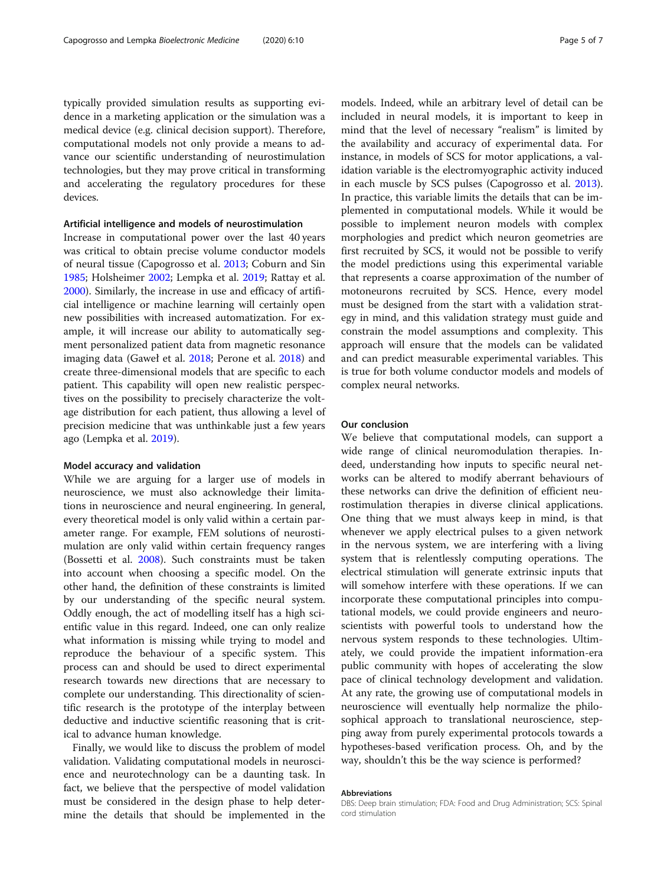typically provided simulation results as supporting evidence in a marketing application or the simulation was a medical device (e.g. clinical decision support). Therefore, computational models not only provide a means to advance our scientific understanding of neurostimulation technologies, but they may prove critical in transforming and accelerating the regulatory procedures for these devices.

# Artificial intelligence and models of neurostimulation

Increase in computational power over the last 40 years was critical to obtain precise volume conductor models of neural tissue (Capogrosso et al. [2013;](#page-5-0) Coburn and Sin [1985](#page-5-0); Holsheimer [2002](#page-5-0); Lempka et al. [2019](#page-5-0); Rattay et al. [2000](#page-6-0)). Similarly, the increase in use and efficacy of artificial intelligence or machine learning will certainly open new possibilities with increased automatization. For example, it will increase our ability to automatically segment personalized patient data from magnetic resonance imaging data (Gaweł et al. [2018](#page-5-0); Perone et al. [2018\)](#page-6-0) and create three-dimensional models that are specific to each patient. This capability will open new realistic perspectives on the possibility to precisely characterize the voltage distribution for each patient, thus allowing a level of precision medicine that was unthinkable just a few years ago (Lempka et al. [2019\)](#page-5-0).

#### Model accuracy and validation

While we are arguing for a larger use of models in neuroscience, we must also acknowledge their limitations in neuroscience and neural engineering. In general, every theoretical model is only valid within a certain parameter range. For example, FEM solutions of neurostimulation are only valid within certain frequency ranges (Bossetti et al. [2008\)](#page-5-0). Such constraints must be taken into account when choosing a specific model. On the other hand, the definition of these constraints is limited by our understanding of the specific neural system. Oddly enough, the act of modelling itself has a high scientific value in this regard. Indeed, one can only realize what information is missing while trying to model and reproduce the behaviour of a specific system. This process can and should be used to direct experimental research towards new directions that are necessary to complete our understanding. This directionality of scientific research is the prototype of the interplay between deductive and inductive scientific reasoning that is critical to advance human knowledge.

Finally, we would like to discuss the problem of model validation. Validating computational models in neuroscience and neurotechnology can be a daunting task. In fact, we believe that the perspective of model validation must be considered in the design phase to help determine the details that should be implemented in the models. Indeed, while an arbitrary level of detail can be included in neural models, it is important to keep in mind that the level of necessary "realism" is limited by the availability and accuracy of experimental data. For instance, in models of SCS for motor applications, a validation variable is the electromyographic activity induced in each muscle by SCS pulses (Capogrosso et al. [2013](#page-5-0)). In practice, this variable limits the details that can be implemented in computational models. While it would be possible to implement neuron models with complex morphologies and predict which neuron geometries are first recruited by SCS, it would not be possible to verify the model predictions using this experimental variable that represents a coarse approximation of the number of motoneurons recruited by SCS. Hence, every model must be designed from the start with a validation strategy in mind, and this validation strategy must guide and constrain the model assumptions and complexity. This approach will ensure that the models can be validated and can predict measurable experimental variables. This is true for both volume conductor models and models of complex neural networks.

### Our conclusion

We believe that computational models, can support a wide range of clinical neuromodulation therapies. Indeed, understanding how inputs to specific neural networks can be altered to modify aberrant behaviours of these networks can drive the definition of efficient neurostimulation therapies in diverse clinical applications. One thing that we must always keep in mind, is that whenever we apply electrical pulses to a given network in the nervous system, we are interfering with a living system that is relentlessly computing operations. The electrical stimulation will generate extrinsic inputs that will somehow interfere with these operations. If we can incorporate these computational principles into computational models, we could provide engineers and neuroscientists with powerful tools to understand how the nervous system responds to these technologies. Ultimately, we could provide the impatient information-era public community with hopes of accelerating the slow pace of clinical technology development and validation. At any rate, the growing use of computational models in neuroscience will eventually help normalize the philosophical approach to translational neuroscience, stepping away from purely experimental protocols towards a hypotheses-based verification process. Oh, and by the way, shouldn't this be the way science is performed?

#### Abbreviations

DBS: Deep brain stimulation; FDA: Food and Drug Administration; SCS: Spinal cord stimulation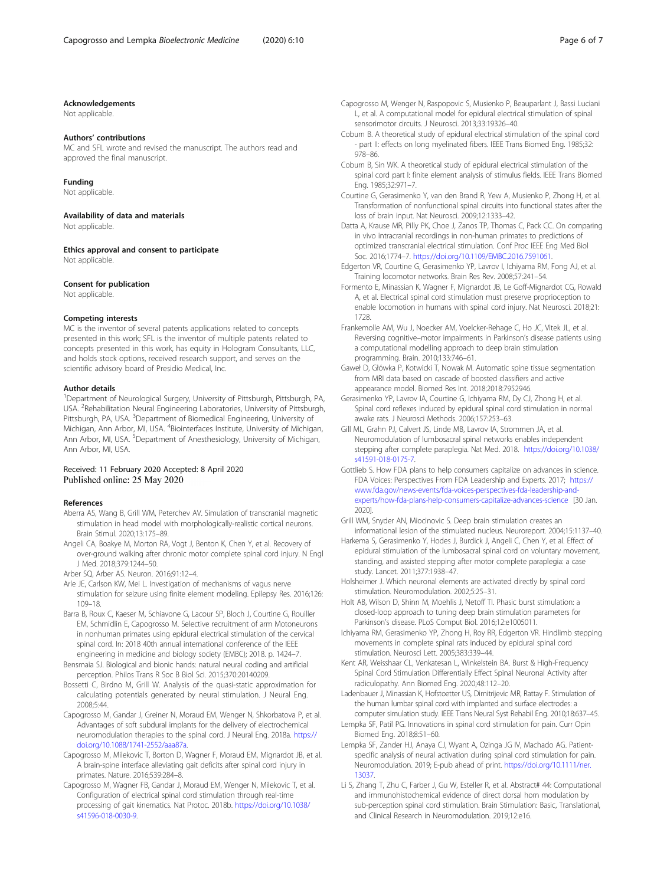#### <span id="page-5-0"></span>Acknowledgements

Not applicable.

#### Authors' contributions

MC and SFL wrote and revised the manuscript. The authors read and approved the final manuscript.

#### Funding

Not applicable.

# Availability of data and materials

Not applicable.

Ethics approval and consent to participate Not applicable.

#### Consent for publication

Not applicable.

#### Competing interests

MC is the inventor of several patents applications related to concepts presented in this work; SFL is the inventor of multiple patents related to concepts presented in this work, has equity in Hologram Consultants, LLC, and holds stock options, received research support, and serves on the scientific advisory board of Presidio Medical, Inc.

#### Author details

<sup>1</sup>Department of Neurological Surgery, University of Pittsburgh, Pittsburgh, PA, USA. <sup>2</sup>Rehabilitation Neural Engineering Laboratories, University of Pittsburgh, Pittsburgh, PA, USA.<sup>3</sup> Department of Biomedical Engineering, University of Michigan, Ann Arbor, MI, USA. <sup>4</sup>Biointerfaces Institute, University of Michigan, Ann Arbor, MI, USA. <sup>5</sup>Department of Anesthesiology, University of Michigan, Ann Arbor, MI, USA.

#### Received: 11 February 2020 Accepted: 8 April 2020 Published online: 25 May 2020

#### References

- Aberra AS, Wang B, Grill WM, Peterchev AV. Simulation of transcranial magnetic stimulation in head model with morphologically-realistic cortical neurons. Brain Stimul. 2020;13:175–89.
- Angeli CA, Boakye M, Morton RA, Vogt J, Benton K, Chen Y, et al. Recovery of over-ground walking after chronic motor complete spinal cord injury. N Engl J Med. 2018;379:1244–50.
- Arber SQ, Arber AS. Neuron. 2016;91:12–4.
- Arle JE, Carlson KW, Mei L. Investigation of mechanisms of vagus nerve stimulation for seizure using finite element modeling. Epilepsy Res. 2016;126: 109–18.
- Barra B, Roux C, Kaeser M, Schiavone G, Lacour SP, Bloch J, Courtine G, Rouiller EM, Schmidlin E, Capogrosso M. Selective recruitment of arm Motoneurons in nonhuman primates using epidural electrical stimulation of the cervical spinal cord. In: 2018 40th annual international conference of the IEEE engineering in medicine and biology society (EMBC); 2018. p. 1424–7.
- Bensmaia SJ. Biological and bionic hands: natural neural coding and artificial perception. Philos Trans R Soc B Biol Sci. 2015;370:20140209.
- Bossetti C, Birdno M, Grill W. Analysis of the quasi-static approximation for calculating potentials generated by neural stimulation. J Neural Eng. 2008;5:44.
- Capogrosso M, Gandar J, Greiner N, Moraud EM, Wenger N, Shkorbatova P, et al. Advantages of soft subdural implants for the delivery of electrochemical neuromodulation therapies to the spinal cord. J Neural Eng. 2018a. [https://](https://doi.org/10.1088/1741-2552/aaa87a) [doi.org/10.1088/1741-2552/aaa87a.](https://doi.org/10.1088/1741-2552/aaa87a)
- Capogrosso M, Milekovic T, Borton D, Wagner F, Moraud EM, Mignardot JB, et al. A brain-spine interface alleviating gait deficits after spinal cord injury in primates. Nature. 2016;539:284–8.
- Capogrosso M, Wagner FB, Gandar J, Moraud EM, Wenger N, Milekovic T, et al. Configuration of electrical spinal cord stimulation through real-time processing of gait kinematics. Nat Protoc. 2018b. [https://doi.org/10.1038/](https://doi.org/10.1038/s41596-018-0030-9) [s41596-018-0030-9.](https://doi.org/10.1038/s41596-018-0030-9)
- Capogrosso M, Wenger N, Raspopovic S, Musienko P, Beauparlant J, Bassi Luciani L, et al. A computational model for epidural electrical stimulation of spinal sensorimotor circuits. J Neurosci. 2013;33:19326–40.
- Coburn B. A theoretical study of epidural electrical stimulation of the spinal cord - part II: effects on long myelinated fibers. IEEE Trans Biomed Eng. 1985;32: 978–86.
- Coburn B, Sin WK. A theoretical study of epidural electrical stimulation of the spinal cord part I: finite element analysis of stimulus fields. IEEE Trans Biomed Eng. 1985;32:971–7.
- Courtine G, Gerasimenko Y, van den Brand R, Yew A, Musienko P, Zhong H, et al. Transformation of nonfunctional spinal circuits into functional states after the loss of brain input. Nat Neurosci. 2009;12:1333–42.
- Datta A, Krause MR, Pilly PK, Choe J, Zanos TP, Thomas C, Pack CC. On comparing in vivo intracranial recordings in non-human primates to predictions of optimized transcranial electrical stimulation. Conf Proc IEEE Eng Med Biol Soc. 2016;1774–7. <https://doi.org/10.1109/EMBC.2016.7591061>.
- Edgerton VR, Courtine G, Gerasimenko YP, Lavrov I, Ichiyama RM, Fong AJ, et al. Training locomotor networks. Brain Res Rev. 2008;57:241–54.
- Formento E, Minassian K, Wagner F, Mignardot JB, Le Goff-Mignardot CG, Rowald A, et al. Electrical spinal cord stimulation must preserve proprioception to enable locomotion in humans with spinal cord injury. Nat Neurosci. 2018;21: 1728.
- Frankemolle AM, Wu J, Noecker AM, Voelcker-Rehage C, Ho JC, Vitek JL, et al. Reversing cognitive–motor impairments in Parkinson's disease patients using a computational modelling approach to deep brain stimulation programming. Brain. 2010;133:746–61.
- Gaweł D, Główka P, Kotwicki T, Nowak M. Automatic spine tissue segmentation from MRI data based on cascade of boosted classifiers and active appearance model. Biomed Res Int. 2018;2018:7952946.
- Gerasimenko YP, Lavrov IA, Courtine G, Ichiyama RM, Dy CJ, Zhong H, et al. Spinal cord reflexes induced by epidural spinal cord stimulation in normal awake rats. J Neurosci Methods. 2006;157:253–63.
- Gill ML, Grahn PJ, Calvert JS, Linde MB, Lavrov IA, Strommen JA, et al. Neuromodulation of lumbosacral spinal networks enables independent stepping after complete paraplegia. Nat Med. 2018. [https://doi.org/10.1038/](https://doi.org/10.1038/s41591-018-0175-7) [s41591-018-0175-7.](https://doi.org/10.1038/s41591-018-0175-7)
- Gottlieb S. How FDA plans to help consumers capitalize on advances in science. FDA Voices: Perspectives From FDA Leadership and Experts. 2017; [https://](https://www.fda.gov/news-events/fda-voices-perspectives-fda-leadership-and-experts/how-fda-plans-help-consumers-capitalize-advances-science) [www.fda.gov/news-events/fda-voices-perspectives-fda-leadership-and](https://www.fda.gov/news-events/fda-voices-perspectives-fda-leadership-and-experts/how-fda-plans-help-consumers-capitalize-advances-science)[experts/how-fda-plans-help-consumers-capitalize-advances-science](https://www.fda.gov/news-events/fda-voices-perspectives-fda-leadership-and-experts/how-fda-plans-help-consumers-capitalize-advances-science) [30 Jan. 2020].
- Grill WM, Snyder AN, Miocinovic S. Deep brain stimulation creates an informational lesion of the stimulated nucleus. Neuroreport. 2004;15:1137–40.
- Harkema S, Gerasimenko Y, Hodes J, Burdick J, Angeli C, Chen Y, et al. Effect of epidural stimulation of the lumbosacral spinal cord on voluntary movement, standing, and assisted stepping after motor complete paraplegia: a case study. Lancet. 2011;377:1938–47.
- Holsheimer J. Which neuronal elements are activated directly by spinal cord stimulation. Neuromodulation. 2002;5:25–31.
- Holt AB, Wilson D, Shinn M, Moehlis J, Netoff TI. Phasic burst stimulation: a closed-loop approach to tuning deep brain stimulation parameters for Parkinson's disease. PLoS Comput Biol. 2016;12:e1005011.
- Ichiyama RM, Gerasimenko YP, Zhong H, Roy RR, Edgerton VR. Hindlimb stepping movements in complete spinal rats induced by epidural spinal cord stimulation. Neurosci Lett. 2005;383:339–44.
- Kent AR, Weisshaar CL, Venkatesan L, Winkelstein BA. Burst & High-Frequency Spinal Cord Stimulation Differentially Effect Spinal Neuronal Activity after radiculopathy. Ann Biomed Eng. 2020;48:112–20.
- Ladenbauer J, Minassian K, Hofstoetter US, Dimitrijevic MR, Rattay F. Stimulation of the human lumbar spinal cord with implanted and surface electrodes: a computer simulation study. IEEE Trans Neural Syst Rehabil Eng. 2010;18:637–45.
- Lempka SF, Patil PG. Innovations in spinal cord stimulation for pain. Curr Opin Biomed Eng. 2018;8:51–60.
- Lempka SF, Zander HJ, Anaya CJ, Wyant A, Ozinga JG IV, Machado AG. Patientspecific analysis of neural activation during spinal cord stimulation for pain. Neuromodulation. 2019; E-pub ahead of print. [https://doi.org/10.1111/ner.](https://doi.org/10.1111/ner.13037) [13037.](https://doi.org/10.1111/ner.13037)
- Li S, Zhang T, Zhu C, Farber J, Gu W, Esteller R, et al. Abstract# 44: Computational and immunohistochemical evidence of direct dorsal horn modulation by sub-perception spinal cord stimulation. Brain Stimulation: Basic, Translational, and Clinical Research in Neuromodulation. 2019;12:e16.